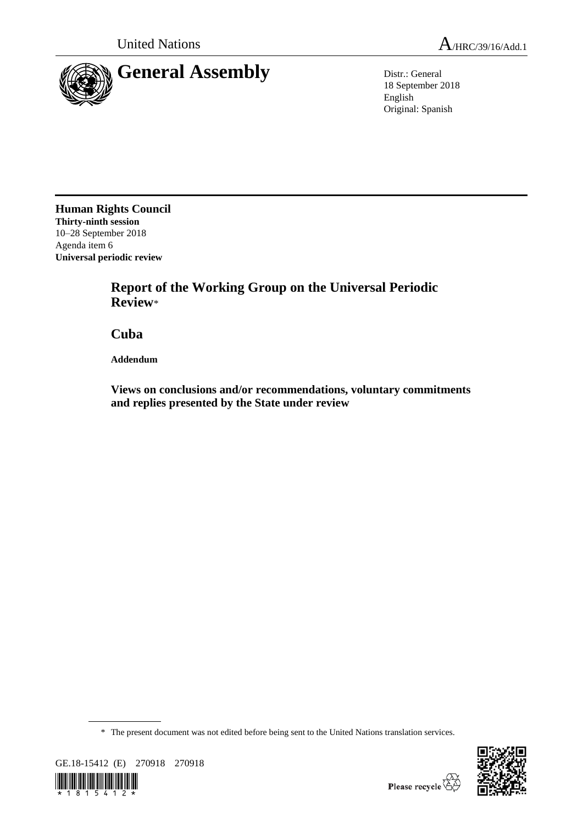

18 September 2018 English Original: Spanish

**Human Rights Council Thirty-ninth session** 10–28 September 2018 Agenda item 6 **Universal periodic review**

> **Report of the Working Group on the Universal Periodic Review**\*

**Cuba**

**Addendum**

**Views on conclusions and/or recommendations, voluntary commitments and replies presented by the State under review**

\* The present document was not edited before being sent to the United Nations translation services.



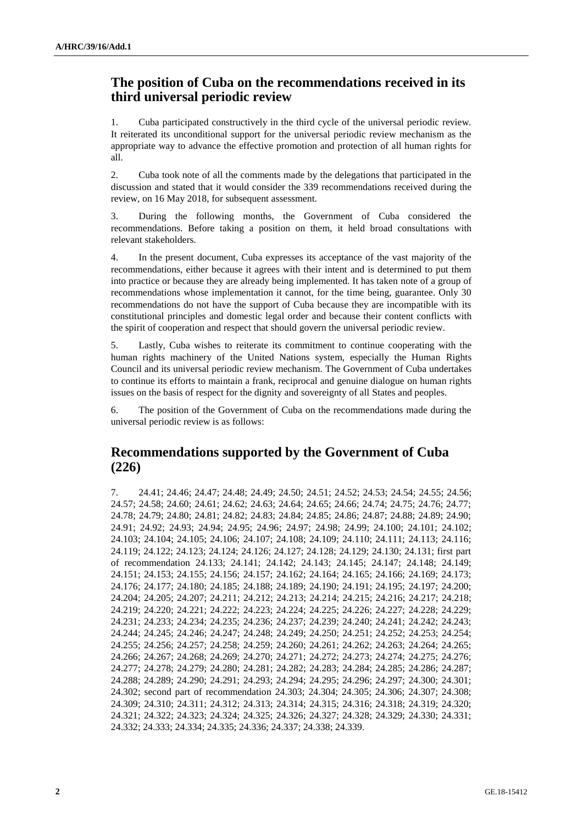## **The position of Cuba on the recommendations received in its third universal periodic review**

1. Cuba participated constructively in the third cycle of the universal periodic review. It reiterated its unconditional support for the universal periodic review mechanism as the appropriate way to advance the effective promotion and protection of all human rights for all.

2. Cuba took note of all the comments made by the delegations that participated in the discussion and stated that it would consider the 339 recommendations received during the review, on 16 May 2018, for subsequent assessment.

3. During the following months, the Government of Cuba considered the recommendations. Before taking a position on them, it held broad consultations with relevant stakeholders.

4. In the present document, Cuba expresses its acceptance of the vast majority of the recommendations, either because it agrees with their intent and is determined to put them into practice or because they are already being implemented. It has taken note of a group of recommendations whose implementation it cannot, for the time being, guarantee. Only 30 recommendations do not have the support of Cuba because they are incompatible with its constitutional principles and domestic legal order and because their content conflicts with the spirit of cooperation and respect that should govern the universal periodic review.

5. Lastly, Cuba wishes to reiterate its commitment to continue cooperating with the human rights machinery of the United Nations system, especially the Human Rights Council and its universal periodic review mechanism. The Government of Cuba undertakes to continue its efforts to maintain a frank, reciprocal and genuine dialogue on human rights issues on the basis of respect for the dignity and sovereignty of all States and peoples.

6. The position of the Government of Cuba on the recommendations made during the universal periodic review is as follows:

## **Recommendations supported by the Government of Cuba (226)**

7. 24.41; 24.46; 24.47; 24.48; 24.49; 24.50; 24.51; 24.52; 24.53; 24.54; 24.55; 24.56; 24.57; 24.58; 24.60; 24.61; 24.62; 24.63; 24.64; 24.65; 24.66; 24.74; 24.75; 24.76; 24.77; 24.78; 24.79; 24.80; 24.81; 24.82; 24.83; 24.84; 24.85; 24.86; 24.87; 24.88; 24.89; 24.90; 24.91; 24.92; 24.93; 24.94; 24.95; 24.96; 24.97; 24.98; 24.99; 24.100; 24.101; 24.102; 24.103; 24.104; 24.105; 24.106; 24.107; 24.108; 24.109; 24.110; 24.111; 24.113; 24.116; 24.119; 24.122; 24.123; 24.124; 24.126; 24.127; 24.128; 24.129; 24.130; 24.131; first part of recommendation 24.133; 24.141; 24.142; 24.143; 24.145; 24.147; 24.148; 24.149; 24.151; 24.153; 24.155; 24.156; 24.157; 24.162; 24.164; 24.165; 24.166; 24.169; 24.173; 24.176; 24.177; 24.180; 24.185; 24.188; 24.189; 24.190; 24.191; 24.195; 24.197; 24.200; 24.204; 24.205; 24.207; 24.211; 24.212; 24.213; 24.214; 24.215; 24.216; 24.217; 24.218; 24.219; 24.220; 24.221; 24.222; 24.223; 24.224; 24.225; 24.226; 24.227; 24.228; 24.229; 24.231; 24.233; 24.234; 24.235; 24.236; 24.237; 24.239; 24.240; 24.241; 24.242; 24.243; 24.244; 24.245; 24.246; 24.247; 24.248; 24.249; 24.250; 24.251; 24.252; 24.253; 24.254; 24.255; 24.256; 24.257; 24.258; 24.259; 24.260; 24.261; 24.262; 24.263; 24.264; 24.265; 24.266; 24.267; 24.268; 24.269; 24.270; 24.271; 24.272; 24.273; 24.274; 24.275; 24.276; 24.277; 24.278; 24.279; 24.280; 24.281; 24.282; 24.283; 24.284; 24.285; 24.286; 24.287; 24.288; 24.289; 24.290; 24.291; 24.293; 24.294; 24.295; 24.296; 24.297; 24.300; 24.301; 24.302; second part of recommendation 24.303; 24.304; 24.305; 24.306; 24.307; 24.308; 24.309; 24.310; 24.311; 24.312; 24.313; 24.314; 24.315; 24.316; 24.318; 24.319; 24.320; 24.321; 24.322; 24.323; 24.324; 24.325; 24.326; 24.327; 24.328; 24.329; 24.330; 24.331; 24.332; 24.333; 24.334; 24.335; 24.336; 24.337; 24.338; 24.339.